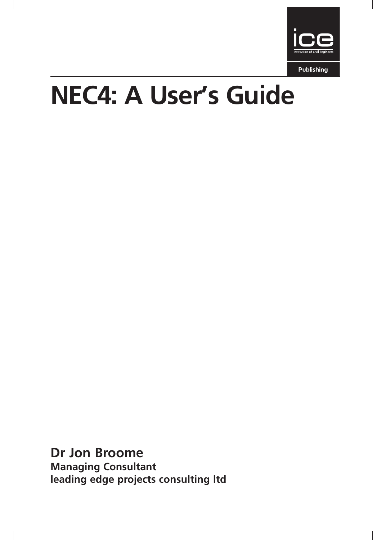

Publishing

# NEC4: A User's Guide

Dr Jon Broome Managing Consultant leading edge projects consulting ltd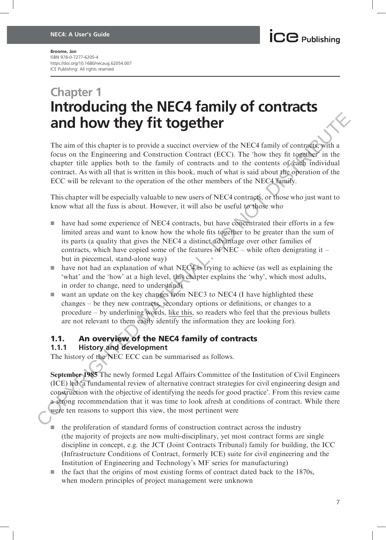## Chapter 1 Introducing the NEC4 family of contracts and how they fit together

The aim of this chapter is to provide a succinct overview of the NEC4 family of contracts, with a focus on the Engineering and Construction Contract (ECC). The 'how they fit together' in the chapter title applies both to the family of contracts and to the contents of each individual contract. As with all that is written in this book, much of what is said about the operation of the ECC will be relevant to the operation of the other members of the NEC4 family.

This chapter will be especially valuable to new users of NEC4 contracts, or those who just want to know what all the fuss is about. However, it will also be useful to those who

- $\blacksquare$  have had some experience of NEC4 contracts, but have concentrated their efforts in a few limited areas and want to know how the whole fits together to be greater than the sum of its parts (a quality that gives the NEC4 a distinct advantage over other families of contracts, which have copied some of the features of NEC – while often denigrating it – but in piecemeal, stand-alone way)
- $\blacksquare$  have not had an explanation of what NEC4 is trying to achieve (as well as explaining the 'what' and the 'how' at a high level, this chapter explains the 'why', which most adults, in order to change, need to understand)
- $\blacksquare$  want an update on the key changes from NEC3 to NEC4 (I have highlighted these changes – be they new contracts, secondary options or definitions, or changes to a procedure – by underlining words, like this, so readers who feel that the previous bullets are not relevant to them easily identify the information they are looking for).

### 1.1. An overview of the NEC4 family of contracts

#### 1.1.1 History and development

The history of the NEC ECC can be summarised as follows.

September 1985 The newly formed Legal Affairs Committee of the Institution of Civil Engineers (ICE) led 'a fundamental review of alternative contract strategies for civil engineering design and construction with the objective of identifying the needs for good practice'. From this review came a strong recommendation that it was time to look afresh at conditions of contract. While there were ten reasons to support this view, the most pertinent were **EXECUTE:**<br> **COPY** The sim of this chapter is to provide a such correct work the NEC4 family of contract  $\mu$  from the Fregmenting and Constraction Contract (FCC). The 'how they fit uggether' in the chapter this applies b

- g the proliferation of standard forms of construction contract across the industry (the majority of projects are now multi-disciplinary, yet most contract forms are single discipline in concept, e.g. the JCT (Joint Contracts Tribunal) family for building, the ICC (Infrastructure Conditions of Contract, formerly ICE) suite for civil engineering and the Institution of Engineering and Technology's MF series for manufacturing)
- $\blacksquare$  the fact that the origins of most existing forms of contract dated back to the 1870s, when modern principles of project management were unknown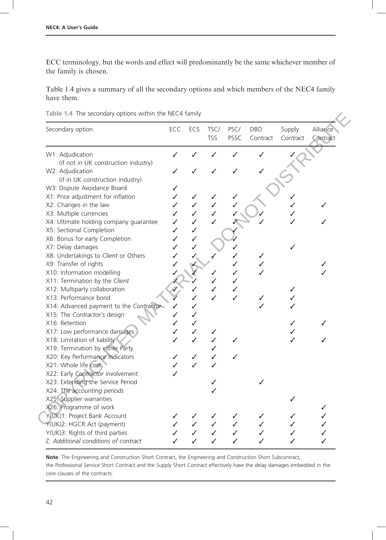ECC terminology, but the words and effect will predominantly be the same whichever member of the family is chosen.

Table 1.4 gives a summary of all the secondary options and which members of the NEC4 family have them.

|  |  |  | Table 1.4 The secondary options within the NEC4 family |  |  |  |  |  |
|--|--|--|--------------------------------------------------------|--|--|--|--|--|
|--|--|--|--------------------------------------------------------|--|--|--|--|--|

| Secondary option                                                   | ECC    | ECS | TSC/<br><b>TSS</b> | PSC/<br>PSSC | <b>DBO</b><br>Contract | Supply<br>Contract | Alliance<br>Contract |
|--------------------------------------------------------------------|--------|-----|--------------------|--------------|------------------------|--------------------|----------------------|
| W1: Adjudication                                                   | ✓      |     |                    |              |                        |                    |                      |
| (if not in UK construction industry)                               |        |     |                    |              |                        |                    |                      |
| W2: Adjudication                                                   |        |     |                    |              |                        |                    |                      |
| (if in UK construction industry)                                   |        |     |                    |              |                        |                    |                      |
| W3: Dispute Avoidance Board                                        | ✓      |     |                    |              |                        |                    |                      |
| X1: Price adjustment for inflation                                 | ✓      |     |                    |              |                        |                    |                      |
| X2: Changes in the law                                             | ✓      | ✓   | ✓                  |              |                        |                    |                      |
| X3: Multiple currencies                                            | ✓      | ✓   |                    |              |                        |                    |                      |
| X4: Ultimate holding company guarantee<br>X5: Sectional Completion | ✓      | ✓   |                    |              |                        |                    |                      |
| X6: Bonus for early Completion                                     | ✓<br>✓ |     |                    |              |                        |                    |                      |
| X7: Delay damages                                                  | ✓      |     |                    |              |                        |                    |                      |
| X8: Undertakings to Client or Others                               | ✓      |     |                    |              |                        |                    |                      |
| X9: Transfer of rights                                             |        |     |                    |              |                        |                    |                      |
| X10: Information modelling                                         |        |     |                    | ✓            |                        |                    |                      |
| X11: Termination by the Client                                     |        |     | ✓                  | ✓            |                        |                    |                      |
| X12: Multiparty collaboration                                      |        |     | ✓                  | ✓            |                        | ✓                  |                      |
| X13: Performance bond                                              |        |     | ✓                  | ✓            |                        |                    |                      |
| X14: Advanced payment to the Contractor                            | ✓      |     |                    |              |                        |                    |                      |
| X15: The Contractor's design                                       | ✓      |     |                    |              |                        |                    |                      |
| X16: Retention                                                     | J      | ✓   |                    |              |                        |                    |                      |
| X17: Low performance damages                                       | ✓      | ✓   | ✓                  |              |                        | ✓                  |                      |
| X18: Limitation of liability                                       |        | ✓   |                    | ✓            |                        | J                  |                      |
| X19: Termination by either Party                                   |        |     |                    |              |                        |                    |                      |
| X20: Key Performance Indicators                                    | ✓      | ✓   | ✓                  | ✓            |                        |                    |                      |
| X21: Whole life cost                                               | ✓      | ✓   |                    |              |                        |                    |                      |
| X22: Early Contractor involvement                                  | ✓      |     |                    |              |                        |                    |                      |
| X23: Extending the Service Period                                  |        |     | ✓                  |              |                        |                    |                      |
| X24: The accounting periods                                        |        |     |                    |              |                        |                    |                      |
| X25: Supplier warranties                                           |        |     |                    |              |                        |                    |                      |
| X26: Programme of work                                             |        |     |                    |              |                        |                    | ✓                    |
| Y(UK)1: Project Bank Account                                       |        |     |                    |              |                        |                    |                      |
| Y(UK)2: HGCR Act (payment)                                         | ✓      | ✓   | ✓                  | ✓            |                        | ✓                  |                      |
| Y(UK)3: Rights of third parties                                    |        |     |                    |              |                        |                    |                      |
| Z: Additional conditions of contract                               | ✓      |     | ✓                  | ✓            |                        | ✓                  |                      |

Note: The Engineering and Construction Short Contract, the Engineering and Construction Short Subcontract, the Professional Service Short Contract and the Supply Short Contract effectively have the delay damages embedded in the core clauses of the contracts.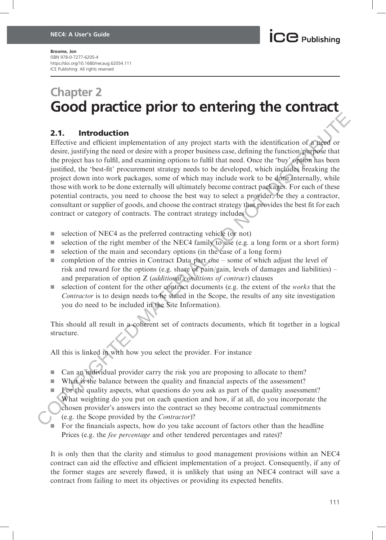### Chapter 2 Good practice prior to entering the contract

### 2.1. Introduction

Effective and efficient implementation of any project starts with the identification of a need or desire, justifying the need or desire with a proper business case, defining the function/purpose that the project has to fulfil, and examining options to fulfil that need. Once the 'buy' option has been justified, the 'best-fit' procurement strategy needs to be developed, which includes breaking the project down into work packages, some of which may include work to be done internally, while those with work to be done externally will ultimately become contract packages. For each of these potential contracts, you need to choose the best way to select a provider, be they a contractor, consultant or supplier of goods, and choose the contract strategy that provides the best fit for each contract or category of contracts. The contract strategy includes **2.1. Introduction**<br>
Effective and efficient implementation of any project starts with the identification of graced<br>
desir, justifying the neard or desire with a proper basines case. defining the function<br>
the project has

- $\blacksquare$  selection of NEC4 as the preferred contracting vehicle (or not)
- election of the right member of the NEC4 family to use (e.g. a long form or a short form)
- $\blacksquare$  selection of the main and secondary options (in the case of a long form)
- $\Box$  completion of the entries in Contract Data part one some of which adjust the level of risk and reward for the options (e.g. share of pain/gain, levels of damages and liabilities) – and preparation of option Z (additional conditions of contract) clauses
- election of content for the other contract documents (e.g. the extent of the *works* that the Contractor is to design needs to be stated in the Scope, the results of any site investigation you do need to be included in the Site Information).

This should all result in a coherent set of contracts documents, which fit together in a logical structure.

All this is linked in with how you select the provider. For instance

- $\Box$  Can an individual provider carry the risk you are proposing to allocate to them?
- What is the balance between the quality and financial aspects of the assessment?
- For the quality aspects, what questions do you ask as part of the quality assessment? What weighting do you put on each question and how, if at all, do you incorporate the chosen provider's answers into the contract so they become contractual commitments (e.g. the Scope provided by the Contractor)?
- For the financials aspects, how do you take account of factors other than the headline Prices (e.g. the fee percentage and other tendered percentages and rates)?

It is only then that the clarity and stimulus to good management provisions within an NEC4 contract can aid the effective and efficient implementation of a project. Consequently, if any of the former stages are severely flawed, it is unlikely that using an NEC4 contract will save a contract from failing to meet its objectives or providing its expected benefits.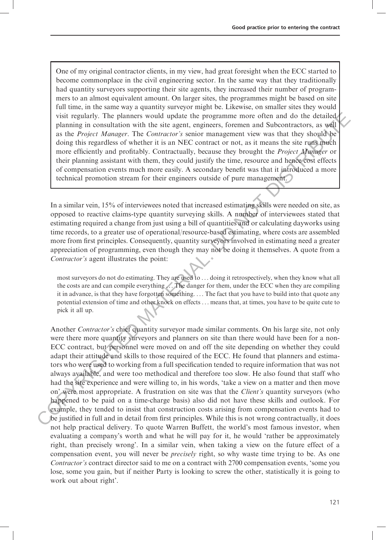One of my original contractor clients, in my view, had great foresight when the ECC started to become commonplace in the civil engineering sector. In the same way that they traditionally had quantity surveyors supporting their site agents, they increased their number of programmers to an almost equivalent amount. On larger sites, the programmes might be based on site full time, in the same way a quantity surveyor might be. Likewise, on smaller sites they would visit regularly. The planners would update the programme more often and do the detailed planning in consultation with the site agent, engineers, foremen and Subcontractors, as well as the Project Manager. The Contractor's senior management view was that they should be doing this regardless of whether it is an NEC contract or not, as it means the site runs much more efficiently and profitably. Contractually, because they brought the Project Manager or their planning assistant with them, they could justify the time, resource and hence cost effects of compensation events much more easily. A secondary benefit was that it introduced a more technical promotion stream for their engineers outside of pure management.

In a similar vein, 15% of interviewees noted that increased estimating skills were needed on site, as opposed to reactive claims-type quantity surveying skills. A number of interviewees stated that estimating required a change from just using a bill of quantities and or calculating dayworks using time records, to a greater use of operational/resource-based estimating, where costs are assembled more from first principles. Consequently, quantity surveyors involved in estimating need a greater appreciation of programming, even though they may not be doing it themselves. A quote from a Contractor's agent illustrates the point:

most surveyors do not do estimating. They are used to ... doing it retrospectively, when they know what all the costs are and can compile everything ... The danger for them, under the ECC when they are compiling it in advance, is that they have forgotten something. ... The fact that you have to build into that quote any potential extension of time and other knock on effects ... means that, at times, you have to be quite cute to pick it all up.

Another Contractor's chief quantity surveyor made similar comments. On his large site, not only were there more quantity surveyors and planners on site than there would have been for a non-ECC contract, but personnel were moved on and off the site depending on whether they could adapt their attitude and skills to those required of the ECC. He found that planners and estimators who were used to working from a full specification tended to require information that was not always available, and were too methodical and therefore too slow. He also found that staff who had the site experience and were willing to, in his words, 'take a view on a matter and then move on' were most appropriate. A frustration on site was that the *Client's* quantity surveyors (who happened to be paid on a time-charge basis) also did not have these skills and outlook. For example, they tended to insist that construction costs arising from compensation events had to be justified in full and in detail from first principles. While this is not wrong contractually, it does not help practical delivery. To quote Warren Buffett, the world's most famous investor, when evaluating a company's worth and what he will pay for it, he would 'rather be approximately right, than precisely wrong'. In a similar vein, when taking a view on the future effect of a compensation event, you will never be *precisely* right, so why waste time trying to be. As one Contractor's contract director said to me on a contract with 2700 compensation events, 'some you lose, some you gain, but if neither Party is looking to screw the other, statistically it is going to work out about right'. visit regularly. The planes would update the programme more often and do the detailed<br>( $\bullet$  By planes) and the project *Manger*. The Contract or may assume the way that they should be<br>a doing this regardles of whether it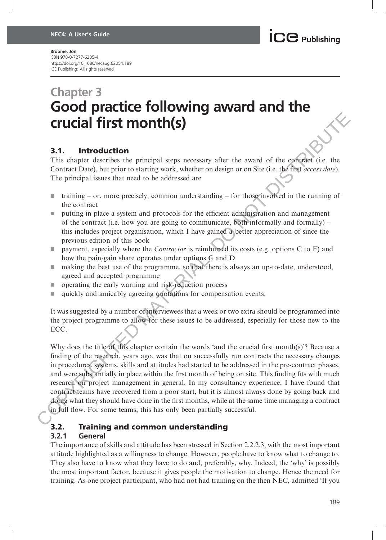### Chapter 3 Good practice following award and the crucial first month(s)

### 3.1. Introduction

This chapter describes the principal steps necessary after the award of the contract (i.e. the Contract Date), but prior to starting work, whether on design or on Site (i.e. the first access date). The principal issues that need to be addressed are

- **training or, more precisely, common understanding for those involved in the running of** the contract
- **u** putting in place a system and protocols for the efficient administration and management of the contract (i.e. how you are going to communicate, both informally and formally) – this includes project organisation, which I have gained a better appreciation of since the previous edition of this book
- payment, especially where the *Contractor* is reimbursed its costs (e.g. options C to F) and how the pain/gain share operates under options C and D
- $\blacksquare$  making the best use of the programme, so that there is always an up-to-date, understood, agreed and accepted programme
- $\Box$  operating the early warning and risk-reduction process
- quickly and amicably agreeing quotations for compensation events.

It was suggested by a number of interviewees that a week or two extra should be programmed into the project programme to allow for these issues to be addressed, especially for those new to the ECC.

Why does the title of this chapter contain the words 'and the crucial first month(s)'? Because a finding of the research, years ago, was that on successfully run contracts the necessary changes in procedures, systems, skills and attitudes had started to be addressed in the pre-contract phases, and were substantially in place within the first month of being on site. This finding fits with much research on project management in general. In my consultancy experience, I have found that contract teams have recovered from a poor start, but it is almost always done by going back and doing what they should have done in the first months, while at the same time managing a contract in full flow. For some teams, this has only been partially successful. **CTUCIAL first month (s)**<br> **3.1. Introduction**<br>
This chapter describes the principal steps necessary after the award of the conferent (i.e. the Continue) Date), but prior to starting work, whether on design or on Site (

### 3.2. Training and common understanding

#### 3.2.1 General

The importance of skills and attitude has been stressed in Section 2.2.2.3, with the most important attitude highlighted as a willingness to change. However, people have to know what to change to. They also have to know what they have to do and, preferably, why. Indeed, the 'why' is possibly the most important factor, because it gives people the motivation to change. Hence the need for training. As one project participant, who had not had training on the then NEC, admitted 'If you